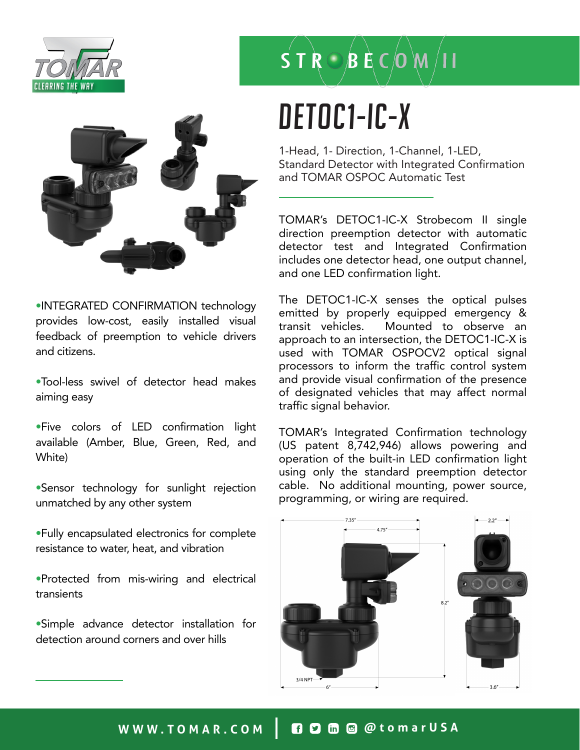



•INTEGRATED CONFIRMATION technology provides low-cost, easily installed visual feedback of preemption to vehicle drivers and citizens.

•Tool-less swivel of detector head makes aiming easy

•Five colors of LED confirmation light available (Amber, Blue, Green, Red, and White)

•Sensor technology for sunlight rejection unmatched by any other system

•Fully encapsulated electronics for complete resistance to water, heat, and vibration

•Protected from mis-wiring and electrical transients

•Simple advance detector installation for detection around corners and over hills

# $S T R \odot B R C$   $(M / 11$

## DETOC1-IC-X

1-Head, 1- Direction, 1-Channel, 1-LED, Standard Detector with Integrated Confirmation and TOMAR OSPOC Automatic Test

TOMAR's DETOC1-IC-X Strobecom II single direction preemption detector with automatic detector test and Integrated Confirmation includes one detector head, one output channel, and one LED confirmation light.

The DETOC1-IC-X senses the optical pulses emitted by properly equipped emergency & transit vehicles. Mounted to observe an approach to an intersection, the DETOC1-IC-X is used with TOMAR OSPOCV2 optical signal processors to inform the traffic control system and provide visual confirmation of the presence of designated vehicles that may affect normal traffic signal behavior.

TOMAR's Integrated Confirmation technology (US patent 8,742,946) allows powering and operation of the built-in LED confirmation light using only the standard preemption detector cable. No additional mounting, power source, programming, or wiring are required.